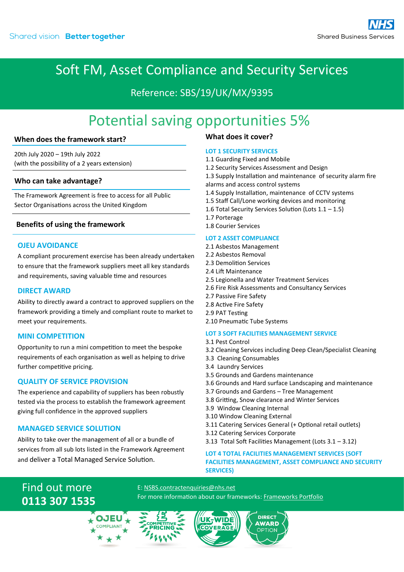## Soft FM, Asset Compliance and Security Services

### Reference: SBS/19/UK/MX/9395

# Potential saving opportunities 5%

#### **When does the framework start?**

20th July 2020 – 19th July 2022 (with the possibility of a 2 years extension)

#### **Who can take advantage?**

The Framework Agreement is free to access for all Public Sector Organisations across the United Kingdom

#### **Benefits of using the framework**

#### **OJEU AVOIDANCE**

A compliant procurement exercise has been already undertaken to ensure that the framework suppliers meet all key standards and requirements, saving valuable time and resources

#### **DIRECT AWARD**

Ability to directly award a contract to approved suppliers on the framework providing a timely and compliant route to market to meet your requirements.

#### **MINI COMPETITION**

Opportunity to run a mini competition to meet the bespoke requirements of each organisation as well as helping to drive further competitive pricing.

#### **QUALITY OF SERVICE PROVISION**

The experience and capability of suppliers has been robustly tested via the process to establish the framework agreement giving full confidence in the approved suppliers

#### **MANAGED SERVICE SOLUTION**

Ability to take over the management of all or a bundle of services from all sub lots listed in the Framework Agreement and deliver a Total Managed Service Solution.

#### **What does it cover?**

#### **LOT 1 SECURITY SERVICES**

- 1.1 Guarding Fixed and Mobile
- 1.2 Security Services Assessment and Design
- 1.3 Supply Installation and maintenance of security alarm fire alarms and access control systems
- 1.4 Supply Installation, maintenance of CCTV systems
- 1.5 Staff Call/Lone working devices and monitoring
- 1.6 Total Security Services Solution (Lots 1.1 1.5)
- 1.7 Porterage

## 1.8 Courier Services

- **LOT 2 ASSET COMPLIANCE**
- 2.1 Asbestos Management
- 2.2 Asbestos Removal 2.3 Demolition Services
- 2.4 Lift Maintenance
- 2.5 Legionella and Water Treatment Services
- 2.6 Fire Risk Assessments and Consultancy Services
- 2.7 Passive Fire Safety
- 2.8 Active Fire Safety
- 2.9 PAT Testing
- 2.10 Pneumatic Tube Systems

#### **LOT 3 SOFT FACILITIES MANAGEMENT SERVICE**

- 3.1 Pest Control
- 3.2 Cleaning Services including Deep Clean/Specialist Cleaning
- 3.3 Cleaning Consumables
- 3.4 Laundry Services
- 3.5 Grounds and Gardens maintenance
- 3.6 Grounds and Hard surface Landscaping and maintenance
- 3.7 Grounds and Gardens Tree Management
- 3.8 Gritting, Snow clearance and Winter Services
- 3.9 Window Cleaning Internal
- 3.10 Window Cleaning External
- 3.11 Catering Services General (+ Optional retail outlets)
- 3.12 Catering Services Corporate
- 3.13 Total Soft Facilities Management (Lots 3.1 3.12)

#### **LOT 4 TOTAL FACILITIES MANAGEMENT SERVICES (SOFT FACILITIES MANAGEMENT, ASSET COMPLIANCE AND SECURITY SERVICES)**

## Find out more **0113 307 1535**





E[: NSBS.contractenquiries@nhs.net](mailto:NSBS.contractenquiries@nhs.net?subject=Contract%20Enquiry)

For more information about our frameworks[: Frameworks Portfolio](https://www.sbs.nhs.uk/proc-framework-agreements-support)

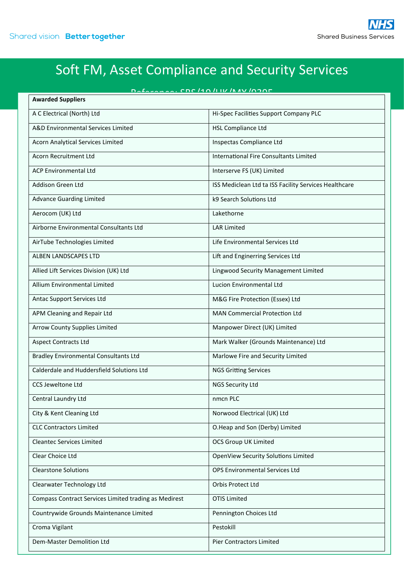# Soft FM, Asset Compliance and Security Services

| $D = 1$<br><b>Awarded Suppliers</b>                   |                                                       |
|-------------------------------------------------------|-------------------------------------------------------|
| A C Electrical (North) Ltd                            | Hi-Spec Facilities Support Company PLC                |
| A&D Environmental Services Limited                    | <b>HSL Compliance Ltd</b>                             |
| Acorn Analytical Services Limited                     | Inspectas Compliance Ltd                              |
| Acorn Recruitment Ltd                                 | International Fire Consultants Limited                |
| <b>ACP Environmental Itd</b>                          | Interserve FS (UK) Limited                            |
| Addison Green Ltd                                     | ISS Mediclean Ltd ta ISS Facility Services Healthcare |
| <b>Advance Guarding Limited</b>                       | k9 Search Solutions Ltd                               |
| Aerocom (UK) Ltd                                      | Lakethorne                                            |
| Airborne Environmental Consultants Ltd                | <b>LAR Limited</b>                                    |
| AirTube Technologies Limited                          | Life Environmental Services Ltd                       |
| <b>ALBEN LANDSCAPES LTD</b>                           | Lift and Enginerring Services Ltd                     |
| Allied Lift Services Division (UK) Ltd                | Lingwood Security Management Limited                  |
| Allium Environmental Limited                          | Lucion Environmental Ltd                              |
| Antac Support Services Ltd                            | M&G Fire Protection (Essex) Ltd                       |
| APM Cleaning and Repair Ltd                           | <b>MAN Commercial Protection Ltd</b>                  |
| <b>Arrow County Supplies Limited</b>                  | Manpower Direct (UK) Limited                          |
| <b>Aspect Contracts Ltd</b>                           | Mark Walker (Grounds Maintenance) Ltd                 |
| <b>Bradley Environmental Consultants Ltd</b>          | Marlowe Fire and Security Limited                     |
| Calderdale and Huddersfield Solutions Ltd             | <b>NGS Gritting Services</b>                          |
| <b>CCS Jeweltone Ltd</b>                              | <b>NGS Security Ltd</b>                               |
| Central Laundry Ltd                                   | nmcn PLC                                              |
| City & Kent Cleaning Ltd                              | Norwood Electrical (UK) Ltd                           |
| <b>CLC Contractors Limited</b>                        | O.Heap and Son (Derby) Limited                        |
| <b>Cleantec Services Limited</b>                      | <b>OCS Group UK Limited</b>                           |
| Clear Choice Ltd                                      | OpenView Security Solutions Limited                   |
| <b>Clearstone Solutions</b>                           | OPS Environmental Services Ltd                        |
| Clearwater Technology Ltd                             | Orbis Protect Ltd                                     |
| Compass Contract Services Limited trading as Medirest | <b>OTIS Limited</b>                                   |
| Countrywide Grounds Maintenance Limited               | Pennington Choices Ltd                                |
| Croma Vigilant                                        | Pestokill                                             |
| Dem-Master Demolition Ltd                             | Pier Contractors Limited                              |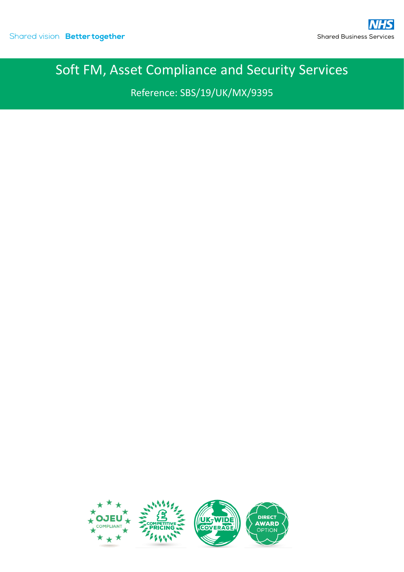# Soft FM, Asset Compliance and Security Services

Reference: SBS/19/UK/MX/9395